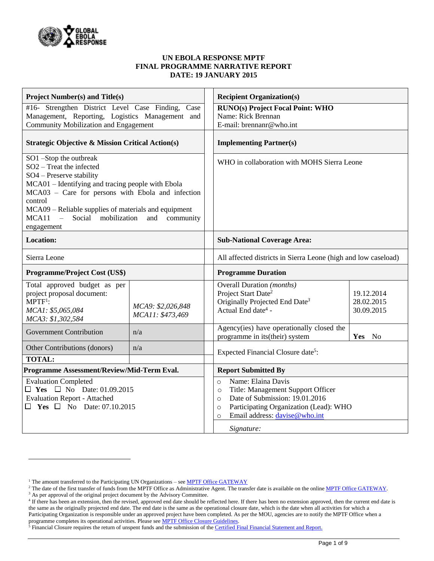

#### **UN EBOLA RESPONSE MPTF FINAL PROGRAMME NARRATIVE REPORT DATE: 19 JANUARY 2015**

| <b>Project Number(s) and Title(s)</b>                                                                                 |                   |  | <b>Recipient Organization(s)</b>                                                          |                  |  |  |  |
|-----------------------------------------------------------------------------------------------------------------------|-------------------|--|-------------------------------------------------------------------------------------------|------------------|--|--|--|
| #16- Strengthen District Level Case Finding, Case                                                                     |                   |  | <b>RUNO(s) Project Focal Point: WHO</b>                                                   |                  |  |  |  |
| Management, Reporting, Logistics Management and                                                                       |                   |  | Name: Rick Brennan                                                                        |                  |  |  |  |
| Community Mobilization and Engagement                                                                                 |                   |  | E-mail: brennanr@who.int                                                                  |                  |  |  |  |
| <b>Strategic Objective &amp; Mission Critical Action(s)</b>                                                           |                   |  | <b>Implementing Partner(s)</b>                                                            |                  |  |  |  |
| SO1-Stop the outbreak                                                                                                 |                   |  | WHO in collaboration with MOHS Sierra Leone                                               |                  |  |  |  |
| SO2 - Treat the infected                                                                                              |                   |  |                                                                                           |                  |  |  |  |
| SO4 - Preserve stability                                                                                              |                   |  |                                                                                           |                  |  |  |  |
| MCA01 – Identifying and tracing people with Ebola                                                                     |                   |  |                                                                                           |                  |  |  |  |
| MCA03 - Care for persons with Ebola and infection                                                                     |                   |  |                                                                                           |                  |  |  |  |
| control                                                                                                               |                   |  |                                                                                           |                  |  |  |  |
| MCA09 – Reliable supplies of materials and equipment<br>$\sim$<br>mobilization<br>MCA11<br>Social<br>and<br>community |                   |  |                                                                                           |                  |  |  |  |
| engagement                                                                                                            |                   |  |                                                                                           |                  |  |  |  |
| <b>Location:</b>                                                                                                      |                   |  | <b>Sub-National Coverage Area:</b>                                                        |                  |  |  |  |
| Sierra Leone                                                                                                          |                   |  | All affected districts in Sierra Leone (high and low caseload)                            |                  |  |  |  |
| Programme/Project Cost (US\$)                                                                                         |                   |  | <b>Programme Duration</b>                                                                 |                  |  |  |  |
| Total approved budget as per                                                                                          |                   |  | <b>Overall Duration</b> ( <i>months</i> )                                                 |                  |  |  |  |
| project proposal document:                                                                                            |                   |  | Project Start Date <sup>2</sup>                                                           | 19.12.2014       |  |  |  |
| $MPTF1$ :                                                                                                             | MCA9: \$2,026,848 |  | Originally Projected End Date <sup>3</sup>                                                | 28.02.2015       |  |  |  |
| MCA1: \$5,065,084                                                                                                     | MCA11: \$473,469  |  | Actual End date <sup>4</sup> -                                                            | 30.09.2015       |  |  |  |
| MCA3: \$1,302,584                                                                                                     |                   |  | Agency(ies) have operationally closed the                                                 |                  |  |  |  |
| <b>Government Contribution</b>                                                                                        | n/a               |  | programme in its(their) system                                                            | Yes<br><b>No</b> |  |  |  |
| Other Contributions (donors)                                                                                          | n/a               |  | Expected Financial Closure date <sup>5</sup> :                                            |                  |  |  |  |
| <b>TOTAL:</b>                                                                                                         |                   |  |                                                                                           |                  |  |  |  |
| Programme Assessment/Review/Mid-Term Eval.                                                                            |                   |  | <b>Report Submitted By</b>                                                                |                  |  |  |  |
| <b>Evaluation Completed</b>                                                                                           |                   |  | Name: Elaina Davis<br>$\circ$                                                             |                  |  |  |  |
| $\Box$ Yes $\Box$ No Date: 01.09.2015                                                                                 |                   |  | Title: Management Support Officer<br>$\circ$<br>Date of Submission: 19.01.2016<br>$\circ$ |                  |  |  |  |
| <b>Evaluation Report - Attached</b>                                                                                   |                   |  |                                                                                           |                  |  |  |  |
| $\Box$ Yes $\Box$ No Date: 07.10.2015                                                                                 |                   |  | Participating Organization (Lead): WHO<br>$\circ$                                         |                  |  |  |  |
|                                                                                                                       |                   |  | Email address: davise@who.int<br>$\circ$                                                  |                  |  |  |  |
|                                                                                                                       |                   |  | Signature:                                                                                |                  |  |  |  |

 $\overline{a}$ 

<sup>&</sup>lt;sup>1</sup> The amount transferred to the Participating UN Organizations – see  $MPTF$  Office GATEWAY

<sup>&</sup>lt;sup>2</sup> The date of the first transfer of funds from the MPTF Office as Administrative Agent. The transfer date is available on the online [MPTF Office GATEWAY.](http://mdtf.undp.org/)

<sup>&</sup>lt;sup>3</sup> As per approval of the original project document by the Advisory Committee.

<sup>&</sup>lt;sup>4</sup> If there has been an extension, then the revised, approved end date should be reflected here. If there has been no extension approved, then the current end date is the same as the originally projected end date. The end date is the same as the operational closure date, which is the date when all activities for which a Participating Organization is responsible under an approved project have been completed. As per the MOU, agencies are to notify the MPTF Office when a programme completes its operational activities. Please see **MPTF Office Closure Guidelines**.

<sup>&</sup>lt;sup>5</sup> Financial Closure requires the return of unspent funds and the submission of th[e Certified Final Financial Statement and Report.](http://mdtf.undp.org/document/download/5388)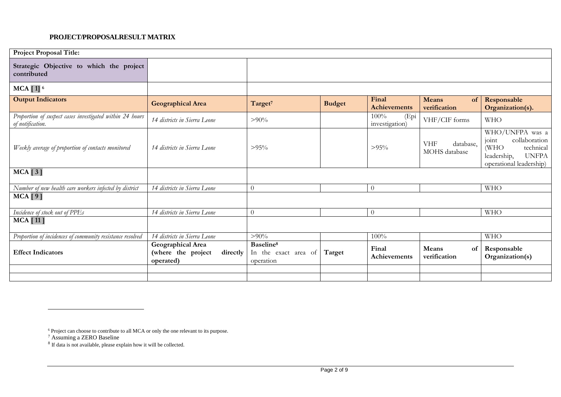#### **PROJECT/PROPOSALRESULT MATRIX**

| <b>Project Proposal Title:</b>                                               |                                                                  |                                                            |               |                                |                                          |                                                                                                                           |
|------------------------------------------------------------------------------|------------------------------------------------------------------|------------------------------------------------------------|---------------|--------------------------------|------------------------------------------|---------------------------------------------------------------------------------------------------------------------------|
| Strategic Objective to which the project<br>contributed                      |                                                                  |                                                            |               |                                |                                          |                                                                                                                           |
| $MCA$ [ 1] $6$                                                               |                                                                  |                                                            |               |                                |                                          |                                                                                                                           |
| <b>Output Indicators</b>                                                     | <b>Geographical Area</b>                                         | Target <sup>7</sup>                                        | <b>Budget</b> | Final<br><b>Achievements</b>   | <b>Means</b><br>of<br>verification       | Responsable<br>Organization(s).                                                                                           |
| Proportion of suspect cases investigated within 24 hours<br>of notification. | 14 districts in Sierra Leone                                     | $> 90\%$                                                   |               | 100%<br>(Epi<br>investigation) | VHF/CIF forms                            | <b>WHO</b>                                                                                                                |
| Weekly average of proportion of contacts monitored                           | 14 districts in Sierra Leone                                     | $>95\%$                                                    |               | $>95\%$                        | <b>VHF</b><br>database,<br>MOHS database | WHO/UNFPA was a<br>collaboration<br>joint<br>(WHO)<br>technical<br><b>UNFPA</b><br>leadership,<br>operational leadership) |
| $MCA$ [3]                                                                    |                                                                  |                                                            |               |                                |                                          |                                                                                                                           |
| Number of new health care workers infected by district                       | 14 districts in Sierra Leone                                     | $\theta$                                                   |               | $\overline{0}$                 |                                          | <b>WHO</b>                                                                                                                |
| $MCA$ [9]                                                                    |                                                                  |                                                            |               |                                |                                          |                                                                                                                           |
| Incidence of stock out of PPEs                                               | 14 districts in Sierra Leone                                     | $\theta$                                                   |               | $\overline{0}$                 |                                          | <b>WHO</b>                                                                                                                |
| <b>MCA</b> [11]                                                              |                                                                  |                                                            |               |                                |                                          |                                                                                                                           |
| Proportion of incidences of community resistance resolved                    | 14 districts in Sierra Leone                                     | $> 90\%$                                                   |               | 100%                           |                                          | <b>WHO</b>                                                                                                                |
| <b>Effect Indicators</b>                                                     | Geographical Area<br>(where the project<br>directly<br>operated) | Baseline <sup>8</sup><br>In the exact area of<br>operation | Target        | Final<br>Achievements          | Means<br>of<br>verification              | Responsable<br>Organization(s)                                                                                            |
|                                                                              |                                                                  |                                                            |               |                                |                                          |                                                                                                                           |
|                                                                              |                                                                  |                                                            |               |                                |                                          |                                                                                                                           |

 $\overline{a}$ 

<sup>&</sup>lt;sup>6</sup> Project can choose to contribute to all MCA or only the one relevant to its purpose.

 $^7$  Assuming a ZERO Baseline<br> $^8$  If data is not available, please explain how it will be collected.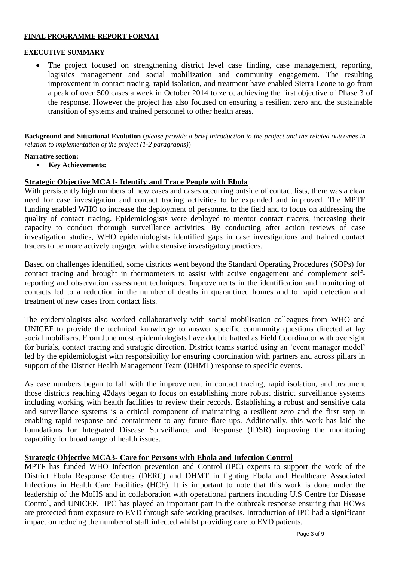### **FINAL PROGRAMME REPORT FORMAT**

### **EXECUTIVE SUMMARY**

 The project focused on strengthening district level case finding, case management, reporting, logistics management and social mobilization and community engagement. The resulting improvement in contact tracing, rapid isolation, and treatment have enabled Sierra Leone to go from a peak of over 500 cases a week in October 2014 to zero, achieving the first objective of Phase 3 of the response. However the project has also focused on ensuring a resilient zero and the sustainable transition of systems and trained personnel to other health areas.

**Background and Situational Evolution** (*please provide a brief introduction to the project and the related outcomes in relation to implementation of the project (1-2 paragraphs)*)

### **Narrative section:**

**Key Achievements:**

# **Strategic Objective MCA1- Identify and Trace People with Ebola**

With persistently high numbers of new cases and cases occurring outside of contact lists, there was a clear need for case investigation and contact tracing activities to be expanded and improved. The MPTF funding enabled WHO to increase the deployment of personnel to the field and to focus on addressing the quality of contact tracing. Epidemiologists were deployed to mentor contact tracers, increasing their capacity to conduct thorough surveillance activities. By conducting after action reviews of case investigation studies, WHO epidemiologists identified gaps in case investigations and trained contact tracers to be more actively engaged with extensive investigatory practices.

Based on challenges identified, some districts went beyond the Standard Operating Procedures (SOPs) for contact tracing and brought in thermometers to assist with active engagement and complement selfreporting and observation assessment techniques. Improvements in the identification and monitoring of contacts led to a reduction in the number of deaths in quarantined homes and to rapid detection and treatment of new cases from contact lists.

The epidemiologists also worked collaboratively with social mobilisation colleagues from WHO and UNICEF to provide the technical knowledge to answer specific community questions directed at lay social mobilisers. From June most epidemiologists have double hatted as Field Coordinator with oversight for burials, contact tracing and strategic direction. District teams started using an 'event manager model' led by the epidemiologist with responsibility for ensuring coordination with partners and across pillars in support of the District Health Management Team (DHMT) response to specific events.

As case numbers began to fall with the improvement in contact tracing, rapid isolation, and treatment those districts reaching 42days began to focus on establishing more robust district surveillance systems including working with health facilities to review their records. Establishing a robust and sensitive data and surveillance systems is a critical component of maintaining a resilient zero and the first step in enabling rapid response and containment to any future flare ups. Additionally, this work has laid the foundations for Integrated Disease Surveillance and Response (IDSR) improving the monitoring capability for broad range of health issues.

# **Strategic Objective MCA3- Care for Persons with Ebola and Infection Control**

MPTF has funded WHO Infection prevention and Control (IPC) experts to support the work of the District Ebola Response Centres (DERC) and DHMT in fighting Ebola and Healthcare Associated Infections in Health Care Facilities (HCF). It is important to note that this work is done under the leadership of the MoHS and in collaboration with operational partners including U.S Centre for Disease Control, and UNICEF. IPC has played an important part in the outbreak response ensuring that HCWs are protected from exposure to EVD through safe working practises. Introduction of IPC had a significant impact on reducing the number of staff infected whilst providing care to EVD patients.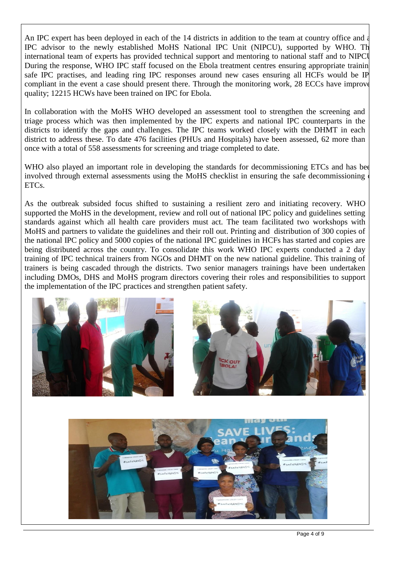An IPC expert has been deployed in each of the 14 districts in addition to the team at country office and a IPC advisor to the newly established MoHS National IPC Unit (NIPCU), supported by WHO. The international team of experts has provided technical support and mentoring to national staff and to NIPCU. During the response, WHO IPC staff focused on the Ebola treatment centres ensuring appropriate training, safe IPC practises, and leading ring IPC responses around new cases ensuring all HCFs would be IP compliant in the event a case should present there. Through the monitoring work, 28 ECCs have improve quality; 12215 HCWs have been trained on IPC for Ebola.

In collaboration with the MoHS WHO developed an assessment tool to strengthen the screening and triage process which was then implemented by the IPC experts and national IPC counterparts in the districts to identify the gaps and challenges. The IPC teams worked closely with the DHMT in each district to address these. To date 476 facilities (PHUs and Hospitals) have been assessed, 62 more than once with a total of 558 assessments for screening and triage completed to date.

WHO also played an important role in developing the standards for decommissioning ETCs and has been involved through external assessments using the MoHS checklist in ensuring the safe decommissioning ETCs.

As the outbreak subsided focus shifted to sustaining a resilient zero and initiating recovery. WHO supported the MoHS in the development, review and roll out of national IPC policy and guidelines setting standards against which all health care providers must act. The team facilitated two workshops with MoHS and partners to validate the guidelines and their roll out. Printing and distribution of 300 copies of the national IPC policy and 5000 copies of the national IPC guidelines in HCFs has started and copies are being distributed across the country. To consolidate this work WHO IPC experts conducted a 2 day training of IPC technical trainers from NGOs and DHMT on the new national guideline. This training of trainers is being cascaded through the districts. Two senior managers trainings have been undertaken including DMOs, DHS and MoHS program directors covering their roles and responsibilities to support the implementation of the IPC practices and strengthen patient safety.



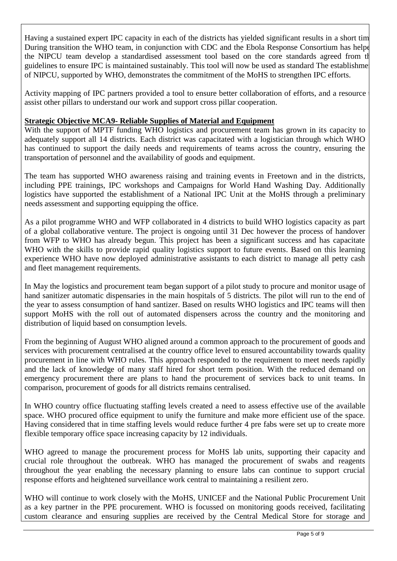Having a sustained expert IPC capacity in each of the districts has yielded significant results in a short tim During transition the WHO team, in conjunction with CDC and the Ebola Response Consortium has helpe the NIPCU team develop a standardised assessment tool based on the core standards agreed from the guidelines to ensure IPC is maintained sustainably. This tool will now be used as standard The establishment of NIPCU, supported by WHO, demonstrates the commitment of the MoHS to strengthen IPC efforts.

Activity mapping of IPC partners provided a tool to ensure better collaboration of efforts, and a resource assist other pillars to understand our work and support cross pillar cooperation.

# **Strategic Objective MCA9- Reliable Supplies of Material and Equipment**

With the support of MPTF funding WHO logistics and procurement team has grown in its capacity to adequately support all 14 districts. Each district was capacitated with a logistician through which WHO has continued to support the daily needs and requirements of teams across the country, ensuring the transportation of personnel and the availability of goods and equipment.

The team has supported WHO awareness raising and training events in Freetown and in the districts, including PPE trainings, IPC workshops and Campaigns for World Hand Washing Day. Additionally logistics have supported the establishment of a National IPC Unit at the MoHS through a preliminary needs assessment and supporting equipping the office.

As a pilot programme WHO and WFP collaborated in 4 districts to build WHO logistics capacity as part of a global collaborative venture. The project is ongoing until 31 Dec however the process of handover from WFP to WHO has already begun. This project has been a significant success and has capacitate WHO with the skills to provide rapid quality logistics support to future events. Based on this learning experience WHO have now deployed administrative assistants to each district to manage all petty cash and fleet management requirements.

In May the logistics and procurement team began support of a pilot study to procure and monitor usage of hand sanitizer automatic dispensaries in the main hospitals of 5 districts. The pilot will run to the end of the year to assess consumption of hand santizer. Based on results WHO logistics and IPC teams will then support MoHS with the roll out of automated dispensers across the country and the monitoring and distribution of liquid based on consumption levels.

From the beginning of August WHO aligned around a common approach to the procurement of goods and services with procurement centralised at the country office level to ensured accountability towards quality procurement in line with WHO rules. This approach responded to the requirement to meet needs rapidly and the lack of knowledge of many staff hired for short term position. With the reduced demand on emergency procurement there are plans to hand the procurement of services back to unit teams. In comparison, procurement of goods for all districts remains centralised.

In WHO country office fluctuating staffing levels created a need to assess effective use of the available space. WHO procured office equipment to unify the furniture and make more efficient use of the space. Having considered that in time staffing levels would reduce further 4 pre fabs were set up to create more flexible temporary office space increasing capacity by 12 individuals.

WHO agreed to manage the procurement process for MoHS lab units, supporting their capacity and crucial role throughout the outbreak. WHO has managed the procurement of swabs and reagents throughout the year enabling the necessary planning to ensure labs can continue to support crucial response efforts and heightened surveillance work central to maintaining a resilient zero.

WHO will continue to work closely with the MoHS, UNICEF and the National Public Procurement Unit as a key partner in the PPE procurement. WHO is focussed on monitoring goods received, facilitating custom clearance and ensuring supplies are received by the Central Medical Store for storage and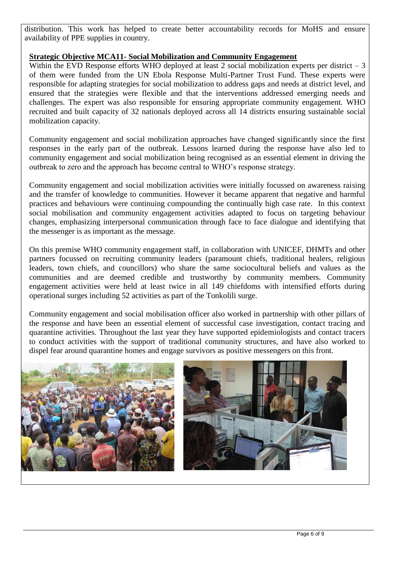distribution. This work has helped to create better accountability records for MoHS and ensure availability of PPE supplies in country.

# **Strategic Objective MCA11- Social Mobilization and Community Engagement**

Within the EVD Response efforts WHO deployed at least 2 social mobilization experts per district  $-3$ of them were funded from the UN Ebola Response Multi-Partner Trust Fund. These experts were responsible for adapting strategies for social mobilization to address gaps and needs at district level, and ensured that the strategies were flexible and that the interventions addressed emerging needs and challenges. The expert was also responsible for ensuring appropriate community engagement. WHO recruited and built capacity of 32 nationals deployed across all 14 districts ensuring sustainable social mobilization capacity.

Community engagement and social mobilization approaches have changed significantly since the first responses in the early part of the outbreak. Lessons learned during the response have also led to community engagement and social mobilization being recognised as an essential element in driving the outbreak to zero and the approach has become central to WHO's response strategy.

Community engagement and social mobilization activities were initially focussed on awareness raising and the transfer of knowledge to communities. However it became apparent that negative and harmful practices and behaviours were continuing compounding the continually high case rate. In this context social mobilisation and community engagement activities adapted to focus on targeting behaviour changes, emphasizing interpersonal communication through face to face dialogue and identifying that the messenger is as important as the message.

On this premise WHO community engagement staff, in collaboration with UNICEF, DHMTs and other partners focussed on recruiting community leaders (paramount chiefs, traditional healers, religious leaders, town chiefs, and councillors) who share the same sociocultural beliefs and values as the communities and are deemed credible and trustworthy by community members. Community engagement activities were held at least twice in all 149 chiefdoms with intensified efforts during operational surges including 52 activities as part of the Tonkolili surge.

Community engagement and social mobilisation officer also worked in partnership with other pillars of the response and have been an essential element of successful case investigation, contact tracing and quarantine activities. Throughout the last year they have supported epidemiologists and contact tracers to conduct activities with the support of traditional community structures, and have also worked to dispel fear around quarantine homes and engage survivors as positive messengers on this front.

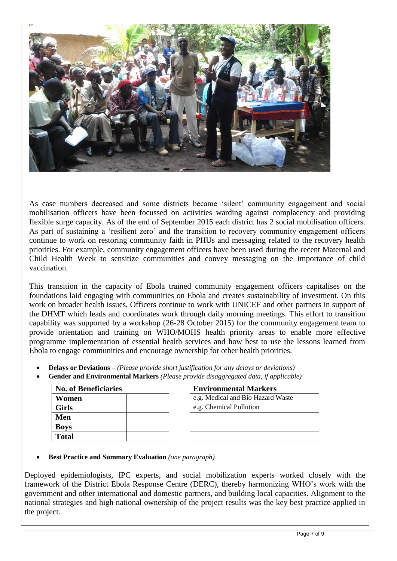

As case numbers decreased and some districts became 'silent' community engagement and social mobilisation officers have been focussed on activities warding against complacency and providing flexible surge capacity. As of the end of September 2015 each district has 2 social mobilisation officers. As part of sustaining a 'resilient zero' and the transition to recovery community engagement officers continue to work on restoring community faith in PHUs and messaging related to the recovery health priorities. For example, community engagement officers have been used during the recent Maternal and Child Health Week to sensitize communities and convey messaging on the importance of child vaccination.

This transition in the capacity of Ebola trained community engagement officers capitalises on the foundations laid engaging with communities on Ebola and creates sustainability of investment. On this work on broader health issues, Officers continue to work with UNICEF and other partners in support of the DHMT which leads and coordinates work through daily morning meetings. This effort to transition capability was supported by a workshop (26-28 October 2015) for the community engagement team to provide orientation and training on WHO/MOHS health priority areas to enable more effective programme implementation of essential health services and how best to use the lessons learned from Ebola to engage communities and encourage ownership for other health priorities.

- **Delays or Deviations** *– (Please provide short justification for any delays or deviations)*
- **Gender and Environmental Markers** *(Please provide disaggregated data, if applicable)*

| <b>No. of Beneficiaries</b> | <b>Environmental Markers</b>      |
|-----------------------------|-----------------------------------|
| Women                       | e.g. Medical and Bio Hazard Waste |
| <b>Girls</b>                | e.g. Chemical Pollution           |
| Men                         |                                   |
| <b>Boys</b>                 |                                   |
| Total                       |                                   |

| <b>Environmental Markers</b>      |
|-----------------------------------|
| e.g. Medical and Bio Hazard Waste |
| e.g. Chemical Pollution           |
|                                   |
|                                   |
|                                   |

**Best Practice and Summary Evaluation** *(one paragraph)*

Deployed epidemiologists, IPC experts, and social mobilization experts worked closely with the framework of the District Ebola Response Centre (DERC), thereby harmonizing WHO's work with the government and other international and domestic partners, and building local capacities. Alignment to the national strategies and high national ownership of the project results was the key best practice applied in the project.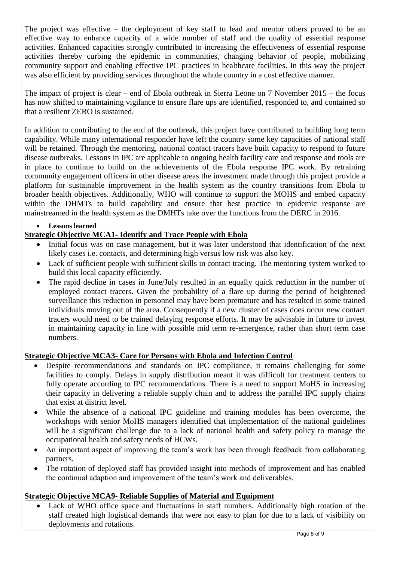The project was effective – the deployment of key staff to lead and mentor others proved to be an effective way to enhance capacity of a wide number of staff and the quality of essential response activities. Enhanced capacities strongly contributed to increasing the effectiveness of essential response activities thereby curbing the epidemic in communities, changing behavior of people, mobilizing community support and enabling effective IPC practices in healthcare facilities. In this way the project was also efficient by providing services throughout the whole country in a cost effective manner.

The impact of project is clear – end of Ebola outbreak in Sierra Leone on 7 November 2015 – the focus has now shifted to maintaining vigilance to ensure flare ups are identified, responded to, and contained so that a resilient ZERO is sustained.

In addition to contributing to the end of the outbreak, this project have contributed to building long term capability. While many international responder have left the country some key capacities of national staff will be retained. Through the mentoring, national contact tracers have built capacity to respond to future disease outbreaks. Lessons in IPC are applicable to ongoing health facility care and response and tools are in place to continue to build on the achievements of the Ebola response IPC work. By retraining community engagement officers in other disease areas the investment made through this project provide a platform for sustainable improvement in the health system as the country transitions from Ebola to broader health objectives. Additionally, WHO will continue to support the MOHS and embed capacity within the DHMTs to build capability and ensure that best practice in epidemic response are mainstreamed in the health system as the DMHTs take over the functions from the DERC in 2016.

# **Lessons learned**

# **Strategic Objective MCA1- Identify and Trace People with Ebola**

- Initial focus was on case management, but it was later understood that identification of the next likely cases i.e. contacts, and determining high versus low risk was also key.
- Lack of sufficient people with sufficient skills in contact tracing. The mentoring system worked to build this local capacity efficiently.
- The rapid decline in cases in June/July resulted in an equally quick reduction in the number of employed contact tracers. Given the probability of a flare up during the period of heightened surveillance this reduction in personnel may have been premature and has resulted in some trained individuals moving out of the area. Consequently if a new cluster of cases does occur new contact tracers would need to be trained delaying response efforts. It may be advisable in future to invest in maintaining capacity in line with possible mid term re-emergence, rather than short term case numbers.

# **Strategic Objective MCA3- Care for Persons with Ebola and Infection Control**

- Despite recommendations and standards on IPC compliance, it remains challenging for some facilities to comply. Delays in supply distribution meant it was difficult for treatment centers to fully operate according to IPC recommendations. There is a need to support MoHS in increasing their capacity in delivering a reliable supply chain and to address the parallel IPC supply chains that exist at district level.
- While the absence of a national IPC guideline and training modules has been overcome, the workshops with senior MoHS managers identified that implementation of the national guidelines will be a significant challenge due to a lack of national health and safety policy to manage the occupational health and safety needs of HCWs.
- An important aspect of improving the team's work has been through feedback from collaborating partners.
- The rotation of deployed staff has provided insight into methods of improvement and has enabled the continual adaption and improvement of the team's work and deliverables.

# **Strategic Objective MCA9- Reliable Supplies of Material and Equipment**

 Lack of WHO office space and fluctuations in staff numbers. Additionally high rotation of the staff created high logistical demands that were not easy to plan for due to a lack of visibility on deployments and rotations.